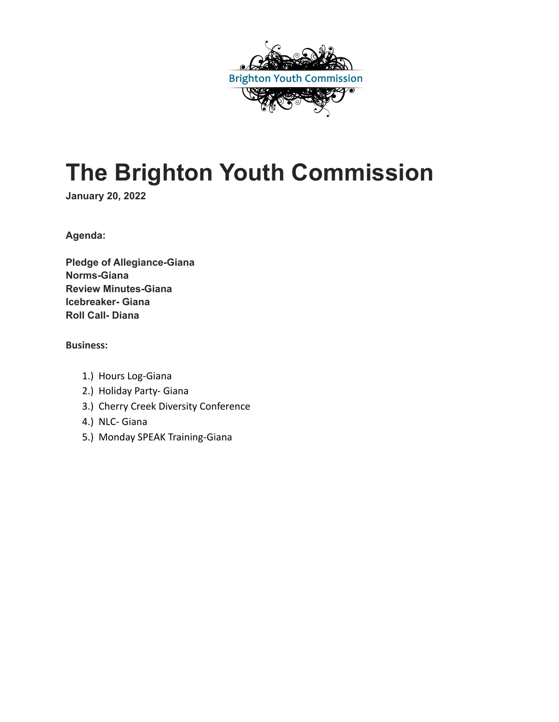

# **The Brighton Youth Commission**

**January 20, 2022**

**Agenda:**

**Pledge of Allegiance-Giana Norms-Giana Review Minutes-Giana Icebreaker- Giana Roll Call- Diana**

#### **Business:**

- 1.) Hours Log-Giana
- 2.) Holiday Party- Giana
- 3.) Cherry Creek Diversity Conference
- 4.) NLC- Giana
- 5.) Monday SPEAK Training-Giana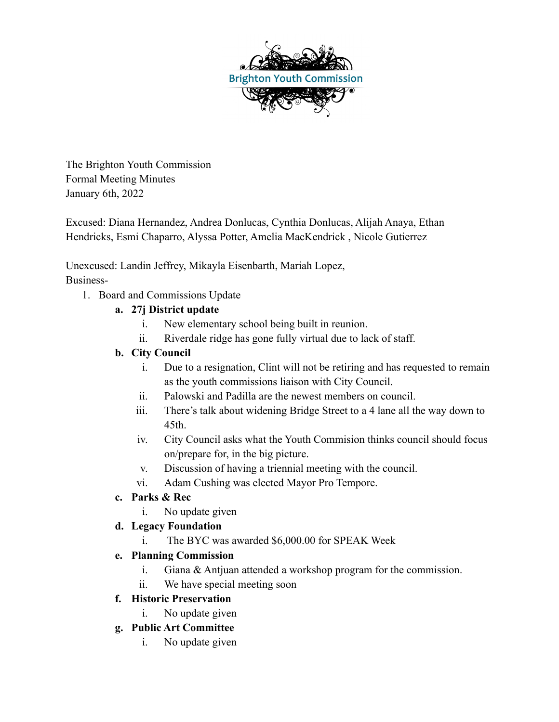

The Brighton Youth Commission Formal Meeting Minutes January 6th, 2022

Excused: Diana Hernandez, Andrea Donlucas, Cynthia Donlucas, Alijah Anaya, Ethan Hendricks, Esmi Chaparro, Alyssa Potter, Amelia MacKendrick , Nicole Gutierrez

Unexcused: Landin Jeffrey, Mikayla Eisenbarth, Mariah Lopez, Business-

1. Board and Commissions Update

## **a. 27j District update**

- i. New elementary school being built in reunion.
- ii. Riverdale ridge has gone fully virtual due to lack of staff.

## **b. City Council**

- i. Due to a resignation, Clint will not be retiring and has requested to remain as the youth commissions liaison with City Council.
- ii. Palowski and Padilla are the newest members on council.
- iii. There's talk about widening Bridge Street to a 4 lane all the way down to 45th.
- iv. City Council asks what the Youth Commision thinks council should focus on/prepare for, in the big picture.
- v. Discussion of having a triennial meeting with the council.
- vi. Adam Cushing was elected Mayor Pro Tempore.

## **c. Parks & Rec**

i. No update given

## **d. Legacy Foundation**

i. The BYC was awarded \$6,000.00 for SPEAK Week

#### **e. Planning Commission**

- i. Giana & Antjuan attended a workshop program for the commission.
- ii. We have special meeting soon

## **f. Historic Preservation**

i. No update given

## **g. Public Art Committee**

i. No update given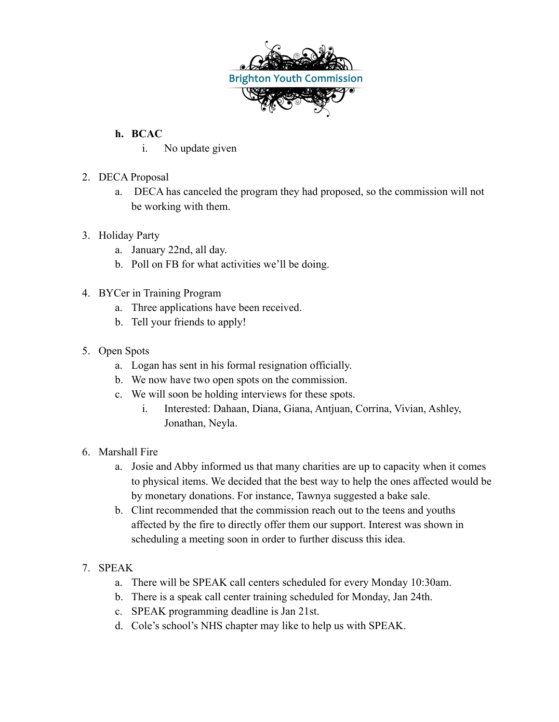

## **h. BCAC**

- i. No update given
- 2. DECA Proposal
	- a. DECA has canceled the program they had proposed, so the commission will not be working with them.

#### 3. Holiday Party

- a. January 22nd, all day.
- b. Poll on FB for what activities we'll be doing.
- 4. BYCer in Training Program
	- a. Three applications have been received.
	- b. Tell your friends to apply!
- 5. Open Spots
	- a. Logan has sent in his formal resignation officially.
	- b. We now have two open spots on the commission.
	- c. We will soon be holding interviews for these spots.
		- i. Interested: Dahaan, Diana, Giana, Antjuan, Corrina, Vivian, Ashley, Jonathan, Neyla.
- 6. Marshall Fire
	- a. Josie and Abby informed us that many charities are up to capacity when it comes to physical items. We decided that the best way to help the ones affected would be by monetary donations. For instance, Tawnya suggested a bake sale.
	- b. Clint recommended that the commission reach out to the teens and youths affected by the fire to directly offer them our support. Interest was shown in scheduling a meeting soon in order to further discuss this idea.
- 7. SPEAK
	- a. There will be SPEAK call centers scheduled for every Monday 10:30am.
	- b. There is a speak call center training scheduled for Monday, Jan 24th.
	- c. SPEAK programming deadline is Jan 21st.
	- d. Cole's school's NHS chapter may like to help us with SPEAK.